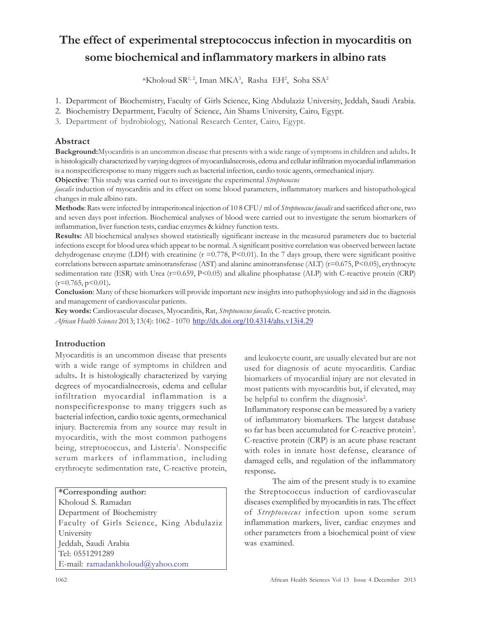# The effect of experimental streptococcus infection in myocarditis on some biochemical and inflammatory markers in albino rats

\*Kholoud SR<sup>1,2</sup>, Iman MKA<sup>3</sup>, Rasha EH<sup>2</sup>, Soha SSA<sup>2</sup>

- 1. Department of Biochemistry, Faculty of Girls Science, King Abdulaziz University, Jeddah, Saudi Arabia.
- 2. Biochemistry Department, Faculty of Science, Ain Shams University, Cairo, Egypt.
- 3. Department of hydrobiology, National Research Center, Cairo, Egypt.

# Abstract

Background:Myocarditis is an uncommon disease that presents with a wide range of symptoms in children and adults. It is histologically characterized by varying degrees of myocardialnecrosis, edema and cellular infiltration myocardial inflammation is a nonspecificresponse to many triggers such as bacterial infection, cardio toxic agents, ormechanical injury.

Objective: This study was carried out to investigate the experimental Streptococcus

faecalis induction of myocarditis and its effect on some blood parameters, inflammatory markers and histopathological changes in male albino rats.

Methods: Rats were infected by intraperitoneal injection of 10 8 CFU/ ml of Streptococcus faecalis and sacrificed after one, two and seven days post infection. Biochemical analyses of blood were carried out to investigate the serum biomarkers of inflammation, liver function tests, cardiac enzymes & kidney function tests.

Results: All biochemical analyses showed statistically significant increase in the measured parameters due to bacterial infections except for blood urea which appear to be normal. A significant positive correlation was observed between lactate dehydrogenase enzyme (LDH) with creatinine  $(r = 0.778, P \le 0.01)$ . In the 7 days group, there were significant positive correlations between aspartate aminotransferase (AST) and alanine aminotransferase (ALT)  $(r=0.675, P<0.05)$ , erythrocyte sedimentation rate (ESR) with Urea (r=0.659, P<0.05) and alkaline phosphatase (ALP) with C-reactive protein (CRP)  $(r=0.765, p<0.01)$ .

Conclusion: Many of these biomarkers will provide important new insights into pathophysiology and aid in the diagnosis and management of cardiovascular patients.

Key words: Cardiovascular diseases, Myocarditis, Rat, Streptococcus faecalis, C-reactive protein. African Health Sciences 2013; 13(4): 1062 - 1070 http://dx.doi.org/10.4314/ahs.v13i4.29

# Introduction

Myocarditis is an uncommon disease that presents with a wide range of symptoms in children and adults. It is histologically characterized by varying degrees of myocardialnecrosis, edema and cellular infiltration myocardial inflammation is a nonspecificresponse to many triggers such as bacterial infection, cardio toxic agents, ormechanical injury. Bacteremia from any source may result in myocarditis, with the most common pathogens being, streptococcus, and Listeria<sup>1</sup>. Nonspecific serum markers of inflammation, including erythrocyte sedimentation rate, C-reactive protein,

\*Corresponding author: Kholoud S. Ramadan Department of Biochemistry Faculty of Girls Science, King Abdulaziz University Jeddah, Saudi Arabia Tel: 0551291289 E-mail: ramadankholoud@yahoo.com

and leukocyte count, are usually elevated but are not used for diagnosis of acute myocarditis. Cardiac biomarkers of myocardial injury are not elevated in most patients with myocarditis but, if elevated, may be helpful to confirm the diagnosis<sup>2</sup>.

Inflammatory response can be measured by a variety of inflammatory biomarkers. The largest database so far has been accumulated for C-reactive protein<sup>3</sup>. C-reactive protein (CRP) is an acute phase reactant with roles in innate host defense, clearance of damaged cells, and regulation of the inflammatory response.

The aim of the present study is to examine the Streptococcus induction of cardiovascular diseases exemplified by myocarditis in rats. The effect of Streptococcus infection upon some serum inflammation markers, liver, cardiac enzymes and other parameters from a biochemical point of view was examined.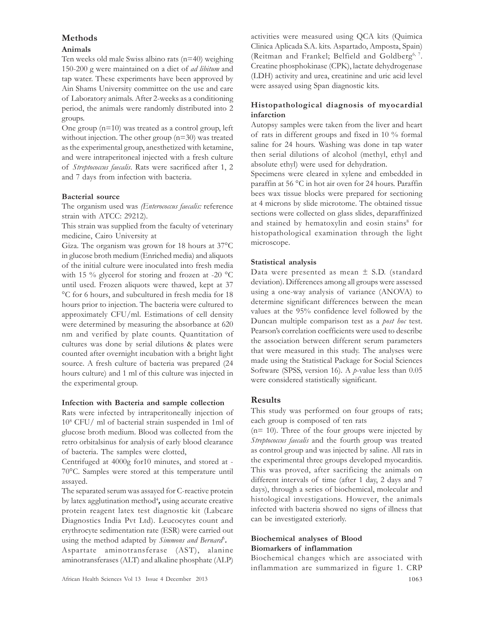# Methods

## Animals

Ten weeks old male Swiss albino rats (n=40) weighing 150-200 g were maintained on a diet of ad libitum and tap water. These experiments have been approved by Ain Shams University committee on the use and care of Laboratory animals. After 2-weeks as a conditioning period, the animals were randomly distributed into 2 groups.

One group (n=10) was treated as a control group, left without injection. The other group (n=30) was treated as the experimental group, anesthetized with ketamine, and were intraperitoneal injected with a fresh culture of Streptococcus faecalis. Rats were sacrificed after 1, 2 and 7 days from infection with bacteria.

## Bacterial source

The organism used was (Enterococcus faecalis: reference strain with ATCC: 29212).

This strain was supplied from the faculty of veterinary medicine, Cairo University at

Giza. The organism was grown for 18 hours at 37°C in glucose broth medium (Enriched media) and aliquots of the initial culture were inoculated into fresh media with 15 % glycerol for storing and frozen at -20  $^{\circ}$ C until used. Frozen aliquots were thawed, kept at 37 °C for 6 hours, and subcultured in fresh media for 18 hours prior to injection. The bacteria were cultured to approximately CFU/ml. Estimations of cell density were determined by measuring the absorbance at 620 nm and verified by plate counts. Quantitation of cultures was done by serial dilutions & plates were counted after overnight incubation with a bright light source. A fresh culture of bacteria was prepared (24 hours culture) and 1 ml of this culture was injected in the experimental group.

# Infection with Bacteria and sample collection

Rats were infected by intraperitoneally injection of 10<sup>8</sup> CFU/ ml of bacterial strain suspended in 1ml of glucose broth medium. Blood was collected from the retro orbitalsinus for analysis of early blood clearance of bacteria. The samples were clotted,

Centrifuged at 4000g for10 minutes, and stored at - 70°C. Samples were stored at this temperature until assayed.

The separated serum was assayed for C-reactive protein by latex agglutination method<sup>4</sup>, using accurate creative protein reagent latex test diagnostic kit (Labcare Diagnostics India Pvt Ltd). Leucocytes count and erythrocyte sedimentation rate (ESR) were carried out using the method adapted by Simmons and Bernard<sup>5</sup>. Aspartate aminotransferase (AST), alanine aminotransferases (ALT) and alkaline phosphate (ALP) activities were measured using QCA kits (Quimica Clinica Aplicada S.A. kits. Aspartado, Amposta, Spain) (Reitman and Frankel; Belfield and Goldberg<sup>6, 7</sup>. Creatine phosphokinase (CPK), lactate dehydrogenase (LDH) activity and urea, creatinine and uric acid level were assayed using Span diagnostic kits.

# Histopathological diagnosis of myocardial infarction

Autopsy samples were taken from the liver and heart of rats in different groups and fixed in 10 % formal saline for 24 hours. Washing was done in tap water then serial dilutions of alcohol (methyl, ethyl and absolute ethyl) were used for dehydration.

Specimens were cleared in xylene and embedded in paraffin at 56 °C in hot air oven for 24 hours. Paraffin bees wax tissue blocks were prepared for sectioning at 4 microns by slide microtome. The obtained tissue sections were collected on glass slides, deparaffinized and stained by hematoxylin and eosin stains<sup>8</sup> for histopathological examination through the light microscope.

# Statistical analysis

Data were presented as mean  $\pm$  S.D. (standard deviation). Differences among all groups were assessed using a one-way analysis of variance (ANOVA) to determine significant differences between the mean values at the 95% confidence level followed by the Duncan multiple comparison test as a *post hoc* test. Pearson's correlation coefficients were used to describe the association between different serum parameters that were measured in this study. The analyses were made using the Statistical Package for Social Sciences Software (SPSS, version 16). A *p*-value less than 0.05 were considered statistically significant.

# Results

This study was performed on four groups of rats; each group is composed of ten rats

 $(n= 10)$ . Three of the four groups were injected by Streptococcus faecalis and the fourth group was treated as control group and was injected by saline. All rats in the experimental three groups developed myocarditis. This was proved, after sacrificing the animals on different intervals of time (after 1 day, 2 days and 7 days), through a series of biochemical, molecular and histological investigations. However, the animals infected with bacteria showed no signs of illness that can be investigated exteriorly.

# Biochemical analyses of Blood Biomarkers of inflammation

Biochemical changes which are associated with inflammation are summarized in figure 1. CRP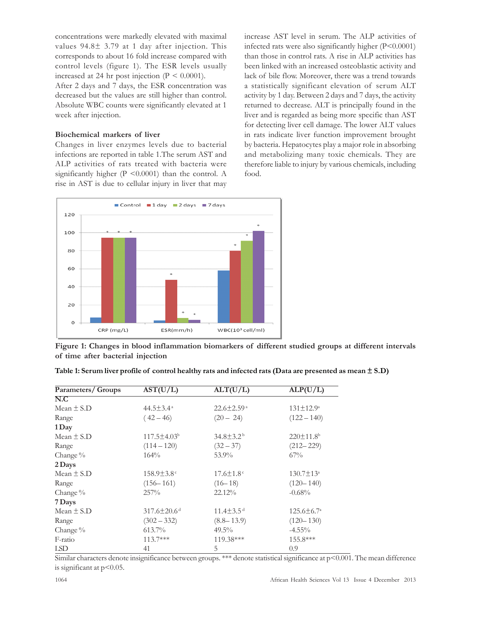concentrations were markedly elevated with maximal values 94.8<sup>±</sup> 3.79 at 1 day after injection. This corresponds to about 16 fold increase compared with control levels (figure 1). The ESR levels usually increased at 24 hr post injection ( $P < 0.0001$ ).

After 2 days and 7 days, the ESR concentration was decreased but the values are still higher than control. Absolute WBC counts were significantly elevated at 1 week after injection.

#### Biochemical markers of liver

Changes in liver enzymes levels due to bacterial infections are reported in table 1.The serum AST and ALP activities of rats treated with bacteria were significantly higher  $(P \le 0.0001)$  than the control. A rise in AST is due to cellular injury in liver that may increase AST level in serum. The ALP activities of infected rats were also significantly higher (P<0.0001) than those in control rats. A rise in ALP activities has been linked with an increased osteoblastic activity and lack of bile flow. Moreover, there was a trend towards a statistically significant elevation of serum ALT activity by 1 day. Between 2 days and 7 days, the activity returned to decrease. ALT is principally found in the liver and is regarded as being more specific than AST for detecting liver cell damage. The lower ALT values in rats indicate liver function improvement brought by bacteria. Hepatocytes play a major role in absorbing and metabolizing many toxic chemicals. They are therefore liable to injury by various chemicals, including food.



Figure 1: Changes in blood inflammation biomarkers of different studied groups at different intervals of time after bacterial injection

| Parameters/ Groups | $\overline{\text{AST}(U/L)}$  | ALT(U/L)                     | ALP(U/L)                    |
|--------------------|-------------------------------|------------------------------|-----------------------------|
| N.C                |                               |                              |                             |
| Mean $\pm$ S.D     | $44.5 \pm 3.4^{\circ}$        | $22.6 \pm 2.59$ <sup>a</sup> | $131 \pm 12.9^{\circ}$      |
| Range              | $(42 - 46)$                   | $(20 - 24)$                  | $(122 - 140)$               |
| 1 Day              |                               |                              |                             |
| Mean $\pm$ S.D     | $117.5 \pm 4.03^b$            | $34.8 \pm 3.2^{\mathrm{b}}$  | $220 \pm 11.8$ <sup>b</sup> |
| Range              | $(114 - 120)$                 | $(32 - 37)$                  | $(212 - 229)$               |
| Change $\%$        | 164%                          | 53.9%                        | $67\%$                      |
| 2 Days             |                               |                              |                             |
| Mean $\pm$ S.D     | $158.9 \pm 3.8$ <sup>c</sup>  | $17.6 \pm 1.8$ <sup>c</sup>  | $130.7 \pm 13^{\circ}$      |
| Range              | $(156 - 161)$                 | $(16-18)$                    | $(120 - 140)$               |
| Change $\%$        | 257%                          | 22.12%                       | $-0.68%$                    |
| 7 Days             |                               |                              |                             |
| Mean $\pm$ S.D     | $317.6 \pm 20.6$ <sup>d</sup> | $11.4 \pm 3.5$ <sup>d</sup>  | $125.6 \pm 6.7^{\circ}$     |
| Range              | $(302 - 332)$                 | $(8.8 - 13.9)$               | $(120 - 130)$               |
| Change $\%$        | 613.7%                        | $49.5\%$                     | $-4.55\%$                   |
| F-ratio            | $113.7***$                    | 119.38***                    | $155.8***$                  |
| LSD                | 41                            | 5                            | 0.9                         |

|  |  | Table 1: Serum liver profile of control healthy rats and infected rats (Data are presented as mean $\pm$ S.D) |  |  |
|--|--|---------------------------------------------------------------------------------------------------------------|--|--|
|--|--|---------------------------------------------------------------------------------------------------------------|--|--|

Similar characters denote insignificance between groups. \*\*\* denote statistical significance at  $p$ <0.001. The mean difference is significant at p<0.05.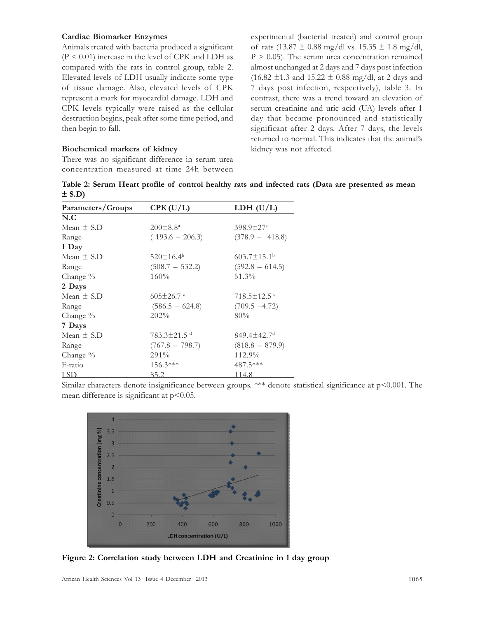#### Cardiac Biomarker Enzymes

Animals treated with bacteria produced a significant  $(P < 0.01)$  increase in the level of CPK and LDH as compared with the rats in control group, table 2. Elevated levels of LDH usually indicate some type of tissue damage. Also, elevated levels of CPK represent a mark for myocardial damage. LDH and CPK levels typically were raised as the cellular destruction begins, peak after some time period, and then begin to fall.

#### Biochemical markers of kidney

There was no significant difference in serum urea concentration measured at time 24h between experimental (bacterial treated) and control group of rats (13.87  $\pm$  0.88 mg/dl vs. 15.35  $\pm$  1.8 mg/dl,  $P > 0.05$ ). The serum urea concentration remained almost unchanged at 2 days and 7 days post infection  $(16.82 \pm 1.3 \text{ and } 15.22 \pm 0.88 \text{ mg/dl, at } 2 \text{ days and }$ 7 days post infection, respectively), table 3. In contrast, there was a trend toward an elevation of serum creatinine and uric acid (UA) levels after 1 day that became pronounced and statistically significant after 2 days. After 7 days, the levels returned to normal. This indicates that the animal's kidney was not affected.

Table 2: Serum Heart profile of control healthy rats and infected rats (Data are presented as mean  $\pm$  S.D)

| Parameters/Groups | CPK(U/L)                      | LDH $(U/L)$                   |
|-------------------|-------------------------------|-------------------------------|
| N.C               |                               |                               |
| Mean $\pm$ S.D    | $200\pm8.8^{\circ}$           | $398.9 \pm 27^{\circ}$        |
| Range             | $(193.6 - 206.3)$             | $(378.9 - 418.8)$             |
| 1 Day             |                               |                               |
| Mean $\pm$ S.D    | $520 \pm 16.4^b$              | $603.7 \pm 15.1$ <sup>b</sup> |
| Range             | $(508.7 - 532.2)$             | $(592.8 - 614.5)$             |
| Change $\%$       | 160%                          | 51.3%                         |
| 2 Days            |                               |                               |
| Mean $\pm$ S.D    | $605\pm26.7$ c                | $718.5 \pm 12.5$              |
| Range             | $(586.5 - 624.8)$             | $(709.5 -4.72)$               |
| Change %          | 202%                          | 80%                           |
| 7 Days            |                               |                               |
| Mean $\pm$ S.D    | $783.3 \pm 21.5$ <sup>d</sup> | $849.4 \pm 42.7$ <sup>d</sup> |
| Range             | $(767.8 - 798.7)$             | $(818.8 - 879.9)$             |
| Change %          | 291%                          | 112.9%                        |
| F-ratio           | $156.3***$                    | 487.5***                      |
| <b>LSD</b>        | 85.2                          | 114.8                         |

Similar characters denote insignificance between groups. \*\*\* denote statistical significance at p<0.001. The mean difference is significant at  $p<0.05$ .



Figure 2: Correlation study between LDH and Creatinine in 1 day group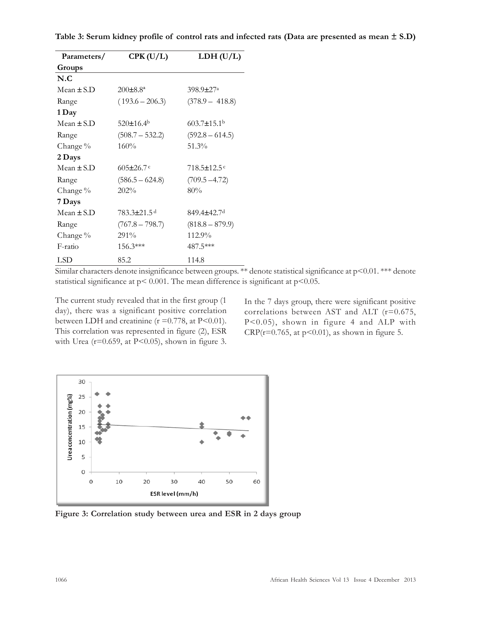| Parameters/    | CPK(U/L)                | LDH(U/L)                      |
|----------------|-------------------------|-------------------------------|
| Groups         |                         |                               |
| N.C            |                         |                               |
| $Mean + SD$    | $200 \pm 8.8^a$         | $398.9 \pm 27$ <sup>a</sup>   |
| Range          | $(193.6 - 206.3)$       | $(378.9 - 418.8)$             |
| 1 Day          |                         |                               |
| Mean $\pm$ S.D | $520 \pm 16.4^{\circ}$  | $603.7 \pm 15.1$ <sup>b</sup> |
| Range          | $(508.7 - 532.2)$       | $(592.8 - 614.5)$             |
| Change %       | 160%                    | 51.3%                         |
| 2 Days         |                         |                               |
| Mean $\pm$ S.D | $605 \pm 26.7$          | $718.5 \pm 12.5$ <sup>c</sup> |
| Range          | $(586.5 - 624.8)$       | $(709.5 - 4.72)$              |
| Change %       | 202%                    | 80%                           |
| 7 Days         |                         |                               |
| Mean $\pm$ S.D | 783.3±21.5 <sup>d</sup> | 849.4±42.7ª                   |
| Range          | $(767.8 - 798.7)$       | $(818.8 - 879.9)$             |
| Change %       | 291%                    | 112.9%                        |
| F-ratio        | $156.3***$              | 487.5***                      |
| LSD            | 85.2                    | 114.8                         |

Similar characters denote insignificance between groups. \*\* denote statistical significance at p<0.01. \*\*\* denote statistical significance at  $p < 0.001$ . The mean difference is significant at  $p < 0.05$ .

The current study revealed that in the first group (1 day), there was a significant positive correlation between LDH and creatinine ( $r = 0.778$ , at P<0.01). This correlation was represented in figure (2), ESR with Urea ( $r=0.659$ , at P<0.05), shown in figure 3. In the 7 days group, there were significant positive correlations between AST and ALT (r=0.675, P<0.05), shown in figure 4 and ALP with CRP( $r=0.765$ , at  $p<0.01$ ), as shown in figure 5.



Figure 3: Correlation study between urea and ESR in 2 days group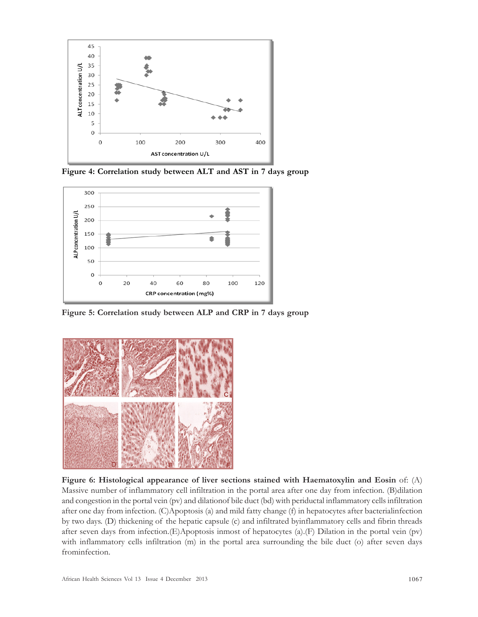

Figure 4: Correlation study between ALT and AST in 7 days group



Figure 5: Correlation study between ALP and CRP in 7 days group



Figure 6: Histological appearance of liver sections stained with Haematoxylin and Eosin of: (A) Massive number of inflammatory cell infiltration in the portal area after one day from infection. (B)dilation and congestion in the portal vein (pv) and dilationof bile duct (bd) with periductal inflammatory cells infiltration after one day from infection. (C)Apoptosis (a) and mild fatty change (f) in hepatocytes after bacterialinfection by two days. (D) thickening of the hepatic capsule (c) and infiltrated byinflammatory cells and fibrin threads after seven days from infection.(E)Apoptosis inmost of hepatocytes (a).(F) Dilation in the portal vein (pv) with inflammatory cells infiltration (m) in the portal area surrounding the bile duct (o) after seven days frominfection.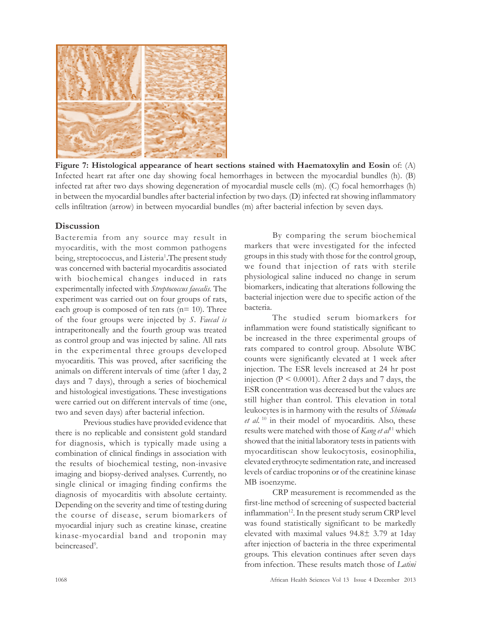

Figure 7: Histological appearance of heart sections stained with Haematoxylin and Eosin of: (A) Infected heart rat after one day showing focal hemorrhages in between the myocardial bundles (h). (B) infected rat after two days showing degeneration of myocardial muscle cells (m). (C) focal hemorrhages (h) in between the myocardial bundles after bacterial infection by two days. (D) infected rat showing inflammatory cells infiltration (arrow) in between myocardial bundles (m) after bacterial infection by seven days.

## **Discussion**

Bacteremia from any source may result in myocarditis, with the most common pathogens being, streptococcus, and Listeria<sup>1</sup>. The present study was concerned with bacterial myocarditis associated with biochemical changes induced in rats experimentally infected with Streptococcus faecalis. The experiment was carried out on four groups of rats, each group is composed of ten rats  $(n=10)$ . Three of the four groups were injected by S. Faecal is intraperitoneally and the fourth group was treated as control group and was injected by saline. All rats in the experimental three groups developed myocarditis. This was proved, after sacrificing the animals on different intervals of time (after 1 day, 2 days and 7 days), through a series of biochemical and histological investigations. These investigations were carried out on different intervals of time (one, two and seven days) after bacterial infection.

Previous studies have provided evidence that there is no replicable and consistent gold standard for diagnosis, which is typically made using a combination of clinical findings in association with the results of biochemical testing, non-invasive imaging and biopsy-derived analyses. Currently, no single clinical or imaging finding confirms the diagnosis of myocarditis with absolute certainty. Depending on the severity and time of testing during the course of disease, serum biomarkers of myocardial injury such as creatine kinase, creatine kinase-myocardial band and troponin may beincreased<sup>9</sup>.

By comparing the serum biochemical markers that were investigated for the infected groups in this study with those for the control group, we found that injection of rats with sterile physiological saline induced no change in serum biomarkers, indicating that alterations following the bacterial injection were due to specific action of the bacteria.

The studied serum biomarkers for inflammation were found statistically significant to be increased in the three experimental groups of rats compared to control group. Absolute WBC counts were significantly elevated at 1 week after injection. The ESR levels increased at 24 hr post injection ( $P < 0.0001$ ). After 2 days and 7 days, the ESR concentration was decreased but the values are still higher than control. This elevation in total leukocytes is in harmony with the results of Shimada  $et \ al.$ <sup>10</sup> in their model of myocarditis. Also, these results were matched with those of Kang et  $a^{11}$  which showed that the initial laboratory tests in patients with myocarditiscan show leukocytosis, eosinophilia, elevated erythrocyte sedimentation rate, and increased levels of cardiac troponins or of the creatinine kinase MB isoenzyme.

CRP measurement is recommended as the first-line method of screening of suspected bacterial inflammation<sup>12</sup>. In the present study serum CRP level was found statistically significant to be markedly elevated with maximal values 94.8± 3.79 at 1day after injection of bacteria in the three experimental groups. This elevation continues after seven days from infection. These results match those of Latini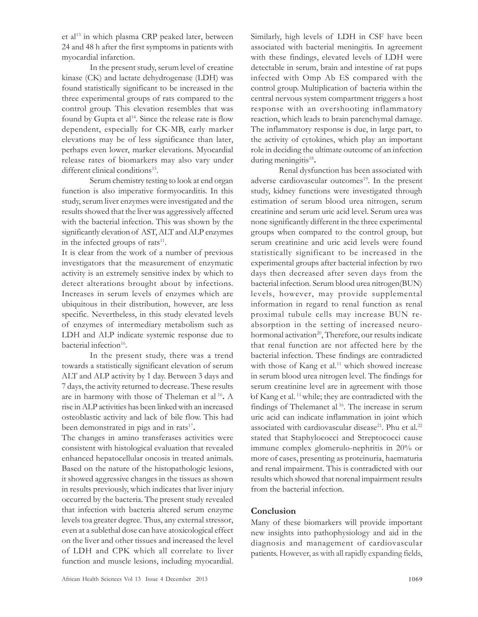et al<sup>13</sup> in which plasma CRP peaked later, between 24 and 48 h after the first symptoms in patients with myocardial infarction.

In the present study, serum level of creatine kinase (CK) and lactate dehydrogenase (LDH) was found statistically significant to be increased in the three experimental groups of rats compared to the control group. This elevation resembles that was found by Gupta et al<sup>14</sup>. Since the release rate is flow dependent, especially for CK-MB, early marker elevations may be of less significance than later, perhaps even lower, marker elevations. Myocardial release rates of biomarkers may also vary under different clinical conditions<sup>15</sup>.

Serum chemistry testing to look at end organ function is also imperative formyocarditis. In this study, serum liver enzymes were investigated and the results showed that the liver was aggressively affected with the bacterial infection. This was shown by the significantly elevation of AST, ALT and ALP enzymes in the infected groups of rats<sup>11</sup>.

It is clear from the work of a number of previous investigators that the measurement of enzymatic activity is an extremely sensitive index by which to detect alterations brought about by infections. Increases in serum levels of enzymes which are ubiquitous in their distribution, however, are less specific. Nevertheless, in this study elevated levels of enzymes of intermediary metabolism such as LDH and ALP indicate systemic response due to bacterial infection<sup>16</sup>.

In the present study, there was a trend towards a statistically significant elevation of serum ALT and ALP activity by 1 day. Between 3 days and 7 days, the activity returned to decrease. These results are in harmony with those of Theleman et al<sup>16</sup>. A rise in ALP activities has been linked with an increased osteoblastic activity and lack of bile flow. This had been demonstrated in pigs and in rats<sup>17</sup>.

The changes in amino transferases activities were consistent with histological evaluation that revealed enhanced hepatocellular oncosis in treated animals. Based on the nature of the histopathologic lesions, it showed aggressive changes in the tissues as shown in results previously, which indicates that liver injury occurred by the bacteria. The present study revealed that infection with bacteria altered serum enzyme levels toa greater degree. Thus, any external stressor, even at a sublethal dose can have atoxicological effect on the liver and other tissues and increased the level of LDH and CPK which all correlate to liver function and muscle lesions, including myocardial. Similarly, high levels of LDH in CSF have been associated with bacterial meningitis. In agreement with these findings, elevated levels of LDH were detectable in serum, brain and intestine of rat pups infected with Omp Ab ES compared with the control group. Multiplication of bacteria within the central nervous system compartment triggers a host response with an overshooting inflammatory reaction, which leads to brain parenchymal damage. The inflammatory response is due, in large part, to the activity of cytokines, which play an important role in deciding the ultimate outcome of an infection during meningitis<sup>18</sup>.

Renal dysfunction has been associated with adverse cardiovascular outcomes<sup>19</sup>. In the present study, kidney functions were investigated through estimation of serum blood urea nitrogen, serum creatinine and serum uric acid level. Serum urea was none significantly different in the three experimental groups when compared to the control group, but serum creatinine and uric acid levels were found statistically significant to be increased in the experimental groups after bacterial infection by two days then decreased after seven days from the bacterial infection. Serum blood urea nitrogen(BUN) levels, however, may provide supplemental information in regard to renal function as renal proximal tubule cells may increase BUN reabsorption in the setting of increased neurohormonal activation<sup>20</sup>, Therefore, our results indicate that renal function are not affected here by the bacterial infection. These findings are contradicted with those of Kang et al.<sup>11</sup> which showed increase in serum blood urea nitrogen level. The findings for serum creatinine level are in agreement with those of Kang et al.<sup>11</sup> while; they are contradicted with the findings of Thelemanet al<sup>16</sup>. The increase in serum uric acid can indicate inflammation in joint which associated with cardiovascular disease<sup>21</sup>. Phu et al.<sup>22</sup> stated that Staphylococci and Streptococci cause immune complex glomerulo-nephritis in 20% or more of cases, presenting as proteinuria, haematuria and renal impairment. This is contradicted with our results which showed that norenal impairment results from the bacterial infection.

# Conclusion

Many of these biomarkers will provide important new insights into pathophysiology and aid in the diagnosis and management of cardiovascular patients. However, as with all rapidly expanding fields,